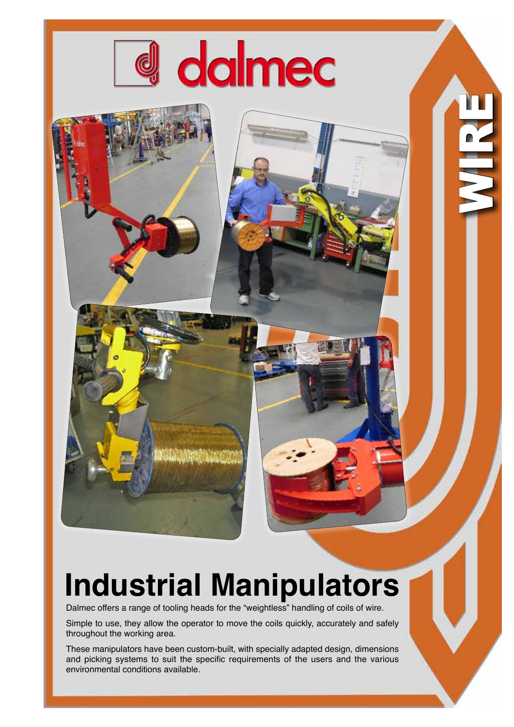

dalmec

WIRE N

Dalmec offers a range of tooling heads for the "weightless" handling of coils of wire.

Simple to use, they allow the operator to move the coils quickly, accurately and safely throughout the working area.

These manipulators have been custom-built, with specially adapted design, dimensions and picking systems to suit the specific requirements of the users and the various environmental conditions available.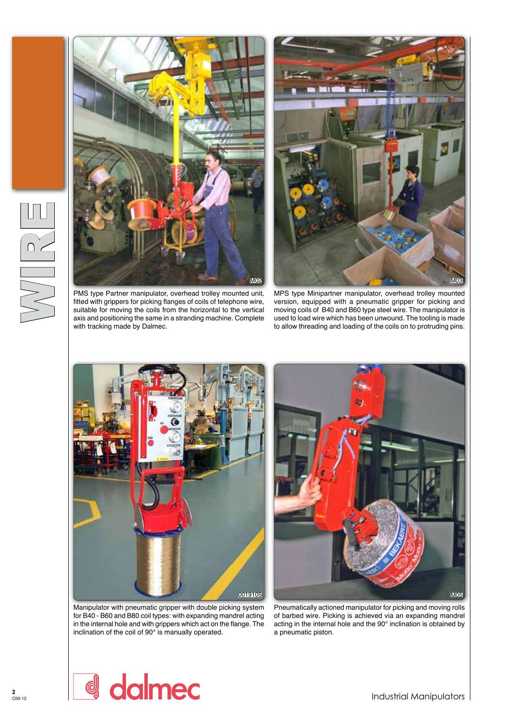

PMS type Partner manipulator, overhead trolley mounted unit, fitted with grippers for picking flanges of coils of telephone wire, suitable for moving the coils from the horizontal to the vertical axis and positioning the same in a stranding machine. Complete with tracking made by Dalmec.



MPS type Minipartner manipulator, overhead trolley mounted version, equipped with a pneumatic gripper for picking and moving coils of B40 and B60 type steel wire. The manipulator is used to load wire which has been unwound. The tooling is made to allow threading and loading of the coils on to protruding pins.



Manipulator with pneumatic gripper with double picking system for B40 - B60 and B80 coil types: with expanding mandrel acting in the internal hole and with grippers which act on the flange. The inclination of the coil of 90° is manually operated.



Pneumatically actioned manipulator for picking and moving rolls of barbed wire. Picking is achieved via an expanding mandrel acting in the internal hole and the 90° inclination is obtained by a pneumatic piston.

**2**<br>C00-12

Industrial Manipulators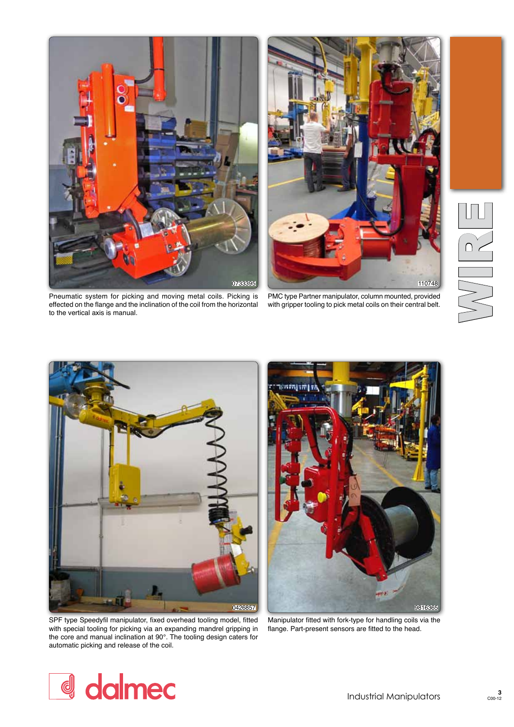



Pneumatic system for picking and moving metal coils. Picking is effected on the flange and the inclination of the coil from the horizontal to the vertical axis is manual.

PMC type Partner manipulator, column mounted, provided with gripper tooling to pick metal coils on their central belt.





0426857 9816365

SPF type Speedyfil manipulator, fixed overhead tooling model, fitted with special tooling for picking via an expanding mandrel gripping in the core and manual inclination at 90°. The tooling design caters for automatic picking and release of the coil.

Manipulator fitted with fork-type for handling coils via the flange. Part-present sensors are fitted to the head.

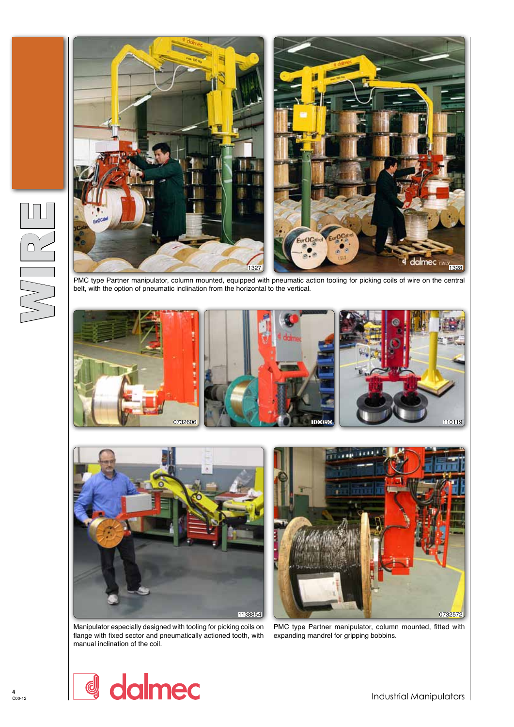

belt, with the option of pneumatic inclination from the horizontal to the vertical.





1138854 0732572

Manipulator especially designed with tooling for picking coils on flange with fixed sector and pneumatically actioned tooth, with manual inclination of the coil.

PMC type Partner manipulator, column mounted, fitted with expanding mandrel for gripping bobbins.